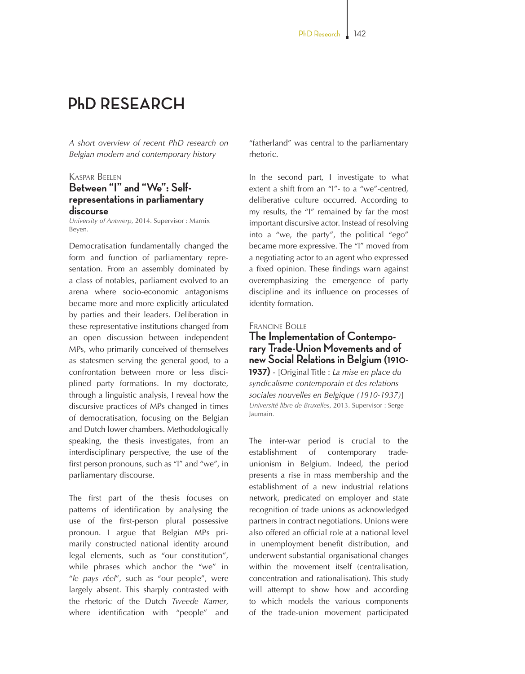# **PhD RESEARCH**

*A short overview of recent PhD research on Belgian modern and contemporary history*

## Kaspar Beelen **Between "I" and "We": Selfrepresentations in parliamentary discourse**

*University of Antwerp*, 2014. Supervisor : Marnix Beyen.

Democratisation fundamentally changed the form and function of parliamentary representation. From an assembly dominated by a class of notables, parliament evolved to an arena where socio-economic antagonisms became more and more explicitly articulated by parties and their leaders. Deliberation in these representative institutions changed from an open discussion between independent MPs, who primarily conceived of themselves as statesmen serving the general good, to a confrontation between more or less disciplined party formations. In my doctorate, through a linguistic analysis, I reveal how the discursive practices of MPs changed in times of democratisation, focusing on the Belgian and Dutch lower chambers. Methodologically speaking, the thesis investigates, from an interdisciplinary perspective, the use of the first person pronouns, such as "I" and "we", in parliamentary discourse.

The first part of the thesis focuses on patterns of identification by analysing the use of the first-person plural possessive pronoun. I argue that Belgian MPs primarily constructed national identity around legal elements, such as "our constitution", while phrases which anchor the "we" in "*le pays r*é*el*", such as "our people", were largely absent. This sharply contrasted with the rhetoric of the Dutch *Tweede Kamer*, where identification with "people" and "fatherland" was central to the parliamentary rhetoric.

In the second part, I investigate to what extent a shift from an "I"- to a "we"-centred, deliberative culture occurred. According to my results, the "I" remained by far the most important discursive actor. Instead of resolving into a "we, the party", the political "ego" became more expressive. The "I" moved from a negotiating actor to an agent who expressed a fixed opinion. These findings warn against overemphasizing the emergence of party discipline and its influence on processes of identity formation.

#### Francine Bolle

# **The Implementation of Contempo- rary Trade-Union Movements and of new Social Relations in Belgium (1910-**

**1937)** - [Original Title : *La mise en place du syndicalisme contemporain et des relations sociales nouvelles en Belgique (1910-1937)*] *Université libre de Bruxelles*, 2013. Supervisor : Serge Jaumain.

The inter-war period is crucial to the establishment of contemporary tradeunionism in Belgium. Indeed, the period presents a rise in mass membership and the establishment of a new industrial relations network, predicated on employer and state recognition of trade unions as acknowledged partners in contract negotiations. Unions were also offered an official role at a national level in unemployment benefit distribution, and underwent substantial organisational changes within the movement itself (centralisation, concentration and rationalisation). This study will attempt to show how and according to which models the various components of the trade-union movement participated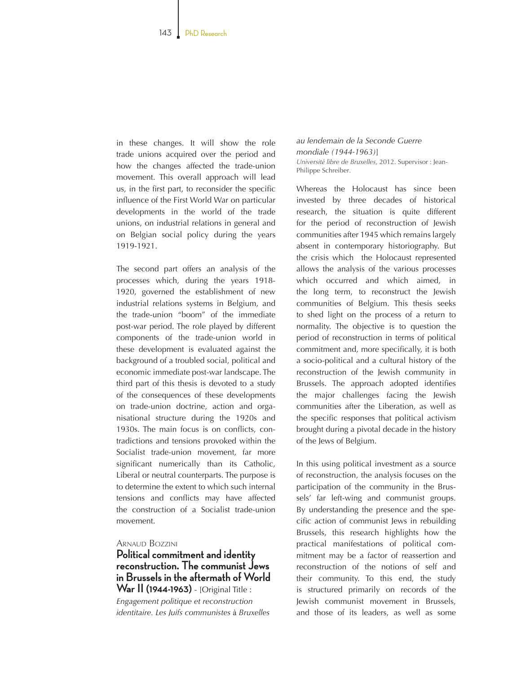in these changes. It will show the role trade unions acquired over the period and how the changes affected the trade-union movement. This overall approach will lead us, in the first part, to reconsider the specific influence of the First World War on particular developments in the world of the trade unions, on industrial relations in general and on Belgian social policy during the years 1919-1921.

The second part offers an analysis of the processes which, during the years 1918-1920, governed the establishment of new industrial relations systems in Belgium, and the trade-union "boom" of the immediate post-war period. The role played by different components of the trade-union world in these development is evaluated against the background of a troubled social, political and economic immediate post-war landscape. The third part of this thesis is devoted to a study of the consequences of these developments on trade-union doctrine, action and organisational structure during the 1920s and 1930s. The main focus is on conflicts, contradictions and tensions provoked within the Socialist trade-union movement, far more significant numerically than its Catholic, Liberal or neutral counterparts. The purpose is to determine the extent to which such internal tensions and conflicts may have affected the construction of a Socialist trade-union movement.

#### ARNAUD BOZZINI

## **Political commitment and identity reconstruction. The communist Jews in Brussels in the aftermath of World War II (1944-1963)** - [Original Title :

*Engagement politique et reconstruction identitaire. Les Juifs communistes* à *Bruxelles*  *au lendemain de la Seconde Guerre mondiale (1944-1963)*] *Université libre de Bruxelles*, 2012. Supervisor : Jean-Philippe Schreiber.

Whereas the Holocaust has since been invested by three decades of historical research, the situation is quite different for the period of reconstruction of Jewish communities after 1945 which remains largely absent in contemporary historiography. But the crisis which the Holocaust represented allows the analysis of the various processes which occurred and which aimed, in the long term, to reconstruct the Jewish communities of Belgium. This thesis seeks to shed light on the process of a return to normality. The objective is to question the period of reconstruction in terms of political commitment and, more specifically, it is both a socio-political and a cultural history of the reconstruction of the Jewish community in Brussels. The approach adopted identifies the major challenges facing the Jewish communities after the Liberation, as well as the specific responses that political activism brought during a pivotal decade in the history of the Jews of Belgium.

In this using political investment as a source of reconstruction, the analysis focuses on the participation of the community in the Brussels' far left-wing and communist groups. By understanding the presence and the specific action of communist Jews in rebuilding Brussels, this research highlights how the practical manifestations of political commitment may be a factor of reassertion and reconstruction of the notions of self and their community. To this end, the study is structured primarily on records of the Jewish communist movement in Brussels, and those of its leaders, as well as some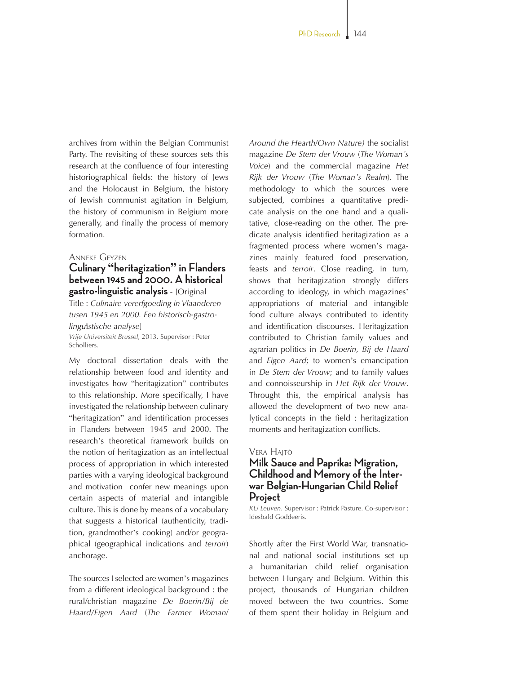archives from within the Belgian Communist Party. The revisiting of these sources sets this research at the confluence of four interesting historiographical fields: the history of Jews and the Holocaust in Belgium, the history of Jewish communist agitation in Belgium, the history of communism in Belgium more generally, and finally the process of memory formation.

#### Anneke Geyzen

## **Culinary "heritagization" in Flanders between 1945 and 2000. A historical gastro-linguistic analysis** - [Original

Title : *Culinaire vererfgoeding in Vlaanderen tusen 1945 en 2000. Een historisch-gastrolingu*ï*stische analyse*]

*Vrije Universiteit Brussel*, 2013. Supervisor : Peter **Scholliers** 

My doctoral dissertation deals with the relationship between food and identity and investigates how "heritagization" contributes to this relationship. More specifically, I have investigated the relationship between culinary "heritagization" and identification processes in Flanders between 1945 and 2000. The research's theoretical framework builds on the notion of heritagization as an intellectual process of appropriation in which interested parties with a varying ideological background and motivation confer new meanings upon certain aspects of material and intangible culture. This is done by means of a vocabulary that suggests a historical (authenticity, tradition, grandmother's cooking) and/or geographical (geographical indications and *terroir*) anchorage.

The sources I selected are women's magazines from a different ideological background : the rural/christian magazine *De Boerin/Bij de Haard/Eigen Aard* (*The Farmer Woman*/

*Around the Hearth*/*Own Nature)* the socialist magazine *De Stem der Vrouw* (*The Woman's Voice*) and the commercial magazine *Het Rijk der Vrouw* (*The Woman's Realm*). The methodology to which the sources were subjected, combines a quantitative predicate analysis on the one hand and a qualitative, close-reading on the other. The predicate analysis identified heritagization as a fragmented process where women's magazines mainly featured food preservation, feasts and *terroir*. Close reading, in turn, shows that heritagization strongly differs according to ideology, in which magazines' appropriations of material and intangible food culture always contributed to identity and identification discourses. Heritagization contributed to Christian family values and agrarian politics in *De Boerin, Bij de Haard*  and *Eigen Aard*; to women's emancipation in *De Stem der Vrouw*; and to family values and connoisseurship in *Het Rijk der Vrouw*. Throught this, the empirical analysis has allowed the development of two new analytical concepts in the field : heritagization moments and heritagization conflicts.

## **VERA HAITÓ**

## **Milk Sauce and Paprika: Migration, Childhood and Memory of the Inter- war Belgian-Hungarian Child Relief Project**

*KU Leuven*. Supervisor : Patrick Pasture. Co-supervisor : Idesbald Goddeeris.

Shortly after the First World War, transnational and national social institutions set up a humanitarian child relief organisation between Hungary and Belgium. Within this project, thousands of Hungarian children moved between the two countries. Some of them spent their holiday in Belgium and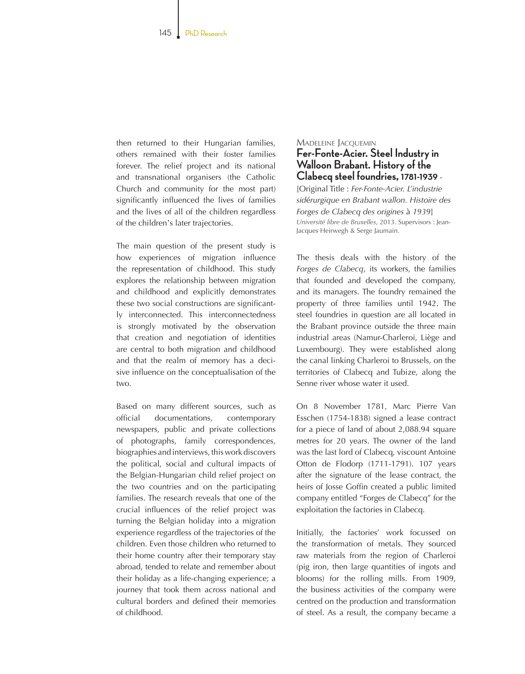then returned to their Hungarian families, others remained with their foster families forever. The relief project and its national and transnational organisers (the Catholic Church and community for the most part) significantly influenced the lives of families and the lives of all of the children regardless of the children's later trajectories.

The main question of the present study is how experiences of migration influence the representation of childhood. This study explores the relationship between migration and childhood and explicitly demonstrates these two social constructions are significantly interconnected. This interconnectedness is strongly motivated by the observation that creation and negotiation of identities are central to both migration and childhood and that the realm of memory has a decisive influence on the conceptualisation of the two.

Based on many different sources, such as official documentations, contemporary newspapers, public and private collections of photographs, family correspondences, biographies and interviews, this work discovers the political, social and cultural impacts of the Belgian-Hungarian child relief project on the two countries and on the participating families. The research reveals that one of the crucial influences of the relief project was turning the Belgian holiday into a migration experience regardless of the trajectories of the children. Even those children who returned to their home country after their temporary stay abroad, tended to relate and remember about their holiday as a life-changing experience; a journey that took them across national and cultural borders and defined their memories of childhood.

# Madeleine Jacquemin **Fer-Fonte-Acier. Steel Industry in Walloon Brabant. History of the**

## **Clabecq steel foundries, 1781-1939** -[Original Title : *Fer-Fonte-Acier. L'industrie*

*sid*é*rurgique en Brabant wallon. Histoire des Forges de Clabecq des origines* à *1939*] *Université libre de Bruxelles*, 2013. Supervisors : Jean-Jacques Heirwegh & Serge Jaumain.

The thesis deals with the history of the *Forges de Clabecq*, its workers, the families that founded and developed the company, and its managers. The foundry remained the property of three families until 1942. The steel foundries in question are all located in the Brabant province outside the three main industrial areas (Namur-Charleroi, Liège and Luxembourg). They were established along the canal linking Charleroi to Brussels, on the territories of Clabecq and Tubize, along the Senne river whose water it used.

On 8 November 1781, Marc Pierre Van Esschen (1754-1838) signed a lease contract for a piece of land of about 2,088.94 square metres for 20 years. The owner of the land was the last lord of Clabecq, viscount Antoine Otton de Flodorp (1711-1791). 107 years after the signature of the lease contract, the heirs of Josse Goffin created a public limited company entitled "Forges de Clabecq" for the exploitation the factories in Clabecq.

Initially, the factories' work focussed on the transformation of metals. They sourced raw materials from the region of Charleroi (pig iron, then large quantities of ingots and blooms) for the rolling mills. From 1909, the business activities of the company were centred on the production and transformation of steel. As a result, the company became a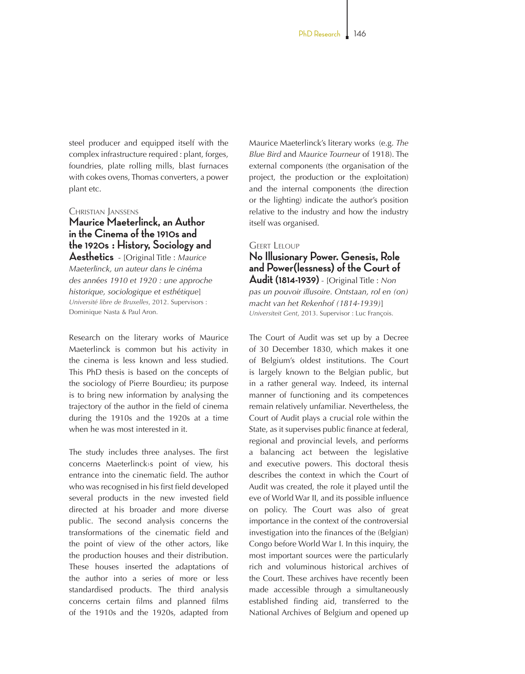steel producer and equipped itself with the complex infrastructure required : plant, forges, foundries, plate rolling mills, blast furnaces with cokes ovens, Thomas converters, a power plant etc.

Christian Janssens

**Maurice Maeterlinck, an Author in the Cinema of the 1910s and the 1920s : History, Sociology and Aesthetics** - [Original Title : *Maurice Maeterlinck, un auteur dans le cin*é*ma des ann*é*es 1910 et 1920 : une approche historique, sociologique et esth*é*tique*] *Université libre de Bruxelles*, 2012. Supervisors : Dominique Nasta & Paul Aron.

Research on the literary works of Maurice Maeterlinck is common but his activity in the cinema is less known and less studied. This PhD thesis is based on the concepts of the sociology of Pierre Bourdieu; its purpose is to bring new information by analysing the trajectory of the author in the field of cinema during the 1910s and the 1920s at a time when he was most interested in it.

The study includes three analyses. The first concerns Maeterlinck›s point of view, his entrance into the cinematic field. The author who was recognised in his first field developed several products in the new invested field directed at his broader and more diverse public. The second analysis concerns the transformations of the cinematic field and the point of view of the other actors, like the production houses and their distribution. These houses inserted the adaptations of the author into a series of more or less standardised products. The third analysis concerns certain films and planned films of the 1910s and the 1920s, adapted from

Maurice Maeterlinck's literary works (e.g. *The Blue Bird* and *Maurice Tourneur* of 1918). The external components (the organisation of the project, the production or the exploitation) and the internal components (the direction or the lighting) indicate the author's position relative to the industry and how the industry itself was organised.

## **GEERT LELOUP No Illusionary Power. Genesis, Role**

## **and Power(lessness) of the Court of Audit (1814-1939)** - [Original Title : *Non*

*pas un pouvoir illusoire. Ontstaan, rol en (on) macht van het Rekenhof (1814-1939)*] *Universiteit Gent*, 2013. Supervisor : Luc François.

The Court of Audit was set up by a Decree of 30 December 1830, which makes it one of Belgium's oldest institutions. The Court is largely known to the Belgian public, but in a rather general way. Indeed, its internal manner of functioning and its competences remain relatively unfamiliar. Nevertheless, the Court of Audit plays a crucial role within the State, as it supervises public finance at federal, regional and provincial levels, and performs a balancing act between the legislative and executive powers. This doctoral thesis describes the context in which the Court of Audit was created, the role it played until the eve of World War II, and its possible influence on policy. The Court was also of great importance in the context of the controversial investigation into the finances of the (Belgian) Congo before World War I. In this inquiry, the most important sources were the particularly rich and voluminous historical archives of the Court. These archives have recently been made accessible through a simultaneously established finding aid, transferred to the National Archives of Belgium and opened up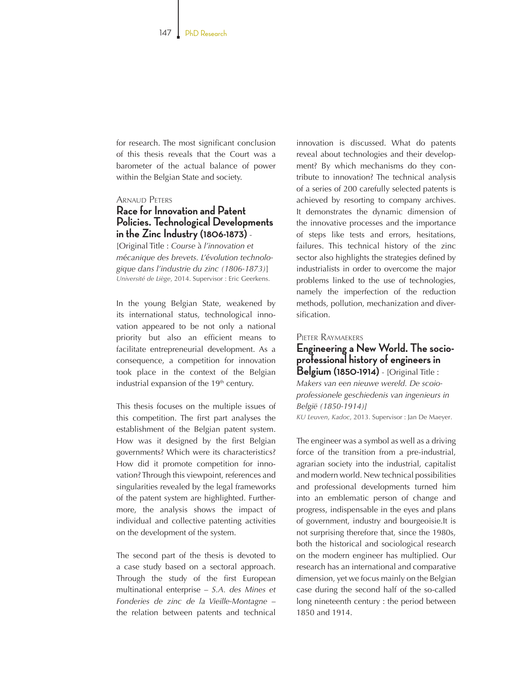for research. The most significant conclusion of this thesis reveals that the Court was a barometer of the actual balance of power within the Belgian State and society.

## Arnaud Peters

# **Race for Innovation and Patent Policies. Technological Developments in the Zinc Industry (1806-1873)** -

[Original Title : *Course* à *l'innovation et m*é*canique des brevets. L'*é*volution technologique dans l'industrie du zinc (1806-1873)*] *Université de Liège*, 2014. Supervisor : Eric Geerkens.

In the young Belgian State, weakened by its international status, technological innovation appeared to be not only a national priority but also an efficient means to facilitate entrepreneurial development. As a consequence, a competition for innovation took place in the context of the Belgian industrial expansion of the 19<sup>th</sup> century.

This thesis focuses on the multiple issues of this competition. The first part analyses the establishment of the Belgian patent system. How was it designed by the first Belgian governments? Which were its characteristics? How did it promote competition for innovation? Through this viewpoint, references and singularities revealed by the legal frameworks of the patent system are highlighted. Furthermore, the analysis shows the impact of individual and collective patenting activities on the development of the system.

The second part of the thesis is devoted to a case study based on a sectoral approach. Through the study of the first European multinational enterprise – *S.A. des Mines et Fonderies de zinc de la Vieille-Montagne* – the relation between patents and technical innovation is discussed. What do patents reveal about technologies and their development? By which mechanisms do they contribute to innovation? The technical analysis of a series of 200 carefully selected patents is achieved by resorting to company archives. It demonstrates the dynamic dimension of the innovative processes and the importance of steps like tests and errors, hesitations, failures. This technical history of the zinc sector also highlights the strategies defined by industrialists in order to overcome the major problems linked to the use of technologies, namely the imperfection of the reduction methods, pollution, mechanization and diversification.

## Pieter Raymaekers

**Engineering a New World. The socioprofessional history of engineers in Belgium (1850-1914)** - [Original Title : *Makers van een nieuwe wereld. De scoioprofessionele geschiedenis van ingenieurs in België (1850-1914)]* 

*KU Leuven*, *Kadoc*, 2013. Supervisor : Jan De Maeyer.

The engineer was a symbol as well as a driving force of the transition from a pre-industrial, agrarian society into the industrial, capitalist and modern world. New technical possibilities and professional developments turned him into an emblematic person of change and progress, indispensable in the eyes and plans of government, industry and bourgeoisie.It is not surprising therefore that, since the 1980s, both the historical and sociological research on the modern engineer has multiplied. Our research has an international and comparative dimension, yet we focus mainly on the Belgian case during the second half of the so-called long nineteenth century : the period between 1850 and 1914.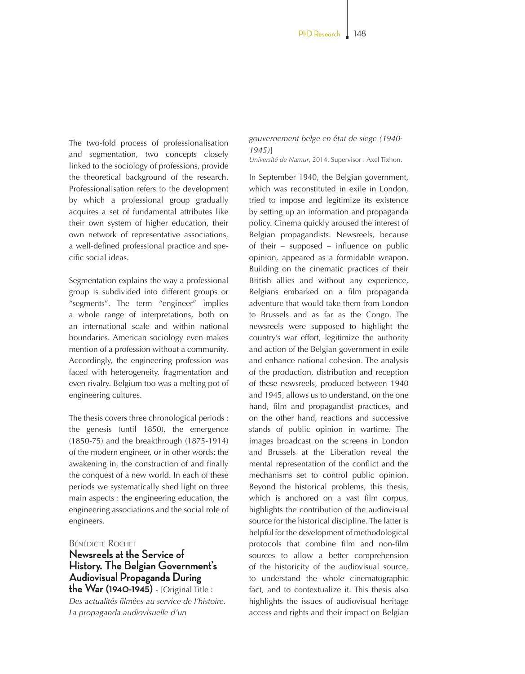The two-fold process of professionalisation and segmentation, two concepts closely linked to the sociology of professions, provide the theoretical background of the research. Professionalisation refers to the development by which a professional group gradually acquires a set of fundamental attributes like their own system of higher education, their own network of representative associations, a well-defined professional practice and specific social ideas.

Segmentation explains the way a professional group is subdivided into different groups or "segments". The term "engineer" implies a whole range of interpretations, both on an international scale and within national boundaries. American sociology even makes mention of a profession without a community. Accordingly, the engineering profession was faced with heterogeneity, fragmentation and even rivalry. Belgium too was a melting pot of engineering cultures.

The thesis covers three chronological periods : the genesis (until 1850), the emergence (1850-75) and the breakthrough (1875-1914) of the modern engineer, or in other words: the awakening in, the construction of and finally the conquest of a new world. In each of these periods we systematically shed light on three main aspects : the engineering education, the engineering associations and the social role of engineers.

## Bénédicte Rochet

## **Newsreels at the Service of History. The Belgian Government's Audiovisual Propaganda During the War (1940-1945)** - [Original Title :

*Des actualit*é*s film*é*es au service de l'histoire. La propaganda audiovisuelle d'un* 

*gouvernement belge en* é*tat de siege (1940- 1945)*] *Université de Namur*, 2014. Supervisor : Axel Tixhon.

In September 1940, the Belgian government, which was reconstituted in exile in London, tried to impose and legitimize its existence by setting up an information and propaganda policy. Cinema quickly aroused the interest of Belgian propagandists. Newsreels, because of their – supposed – influence on public opinion, appeared as a formidable weapon. Building on the cinematic practices of their British allies and without any experience, Belgians embarked on a film propaganda adventure that would take them from London to Brussels and as far as the Congo. The newsreels were supposed to highlight the country's war effort, legitimize the authority and action of the Belgian government in exile and enhance national cohesion. The analysis of the production, distribution and reception of these newsreels, produced between 1940 and 1945, allows us to understand, on the one hand, film and propagandist practices, and on the other hand, reactions and successive stands of public opinion in wartime. The images broadcast on the screens in London and Brussels at the Liberation reveal the mental representation of the conflict and the mechanisms set to control public opinion. Beyond the historical problems, this thesis, which is anchored on a vast film corpus, highlights the contribution of the audiovisual source for the historical discipline. The latter is helpful for the development of methodological protocols that combine film and non-film sources to allow a better comprehension of the historicity of the audiovisual source, to understand the whole cinematographic fact, and to contextualize it. This thesis also highlights the issues of audiovisual heritage access and rights and their impact on Belgian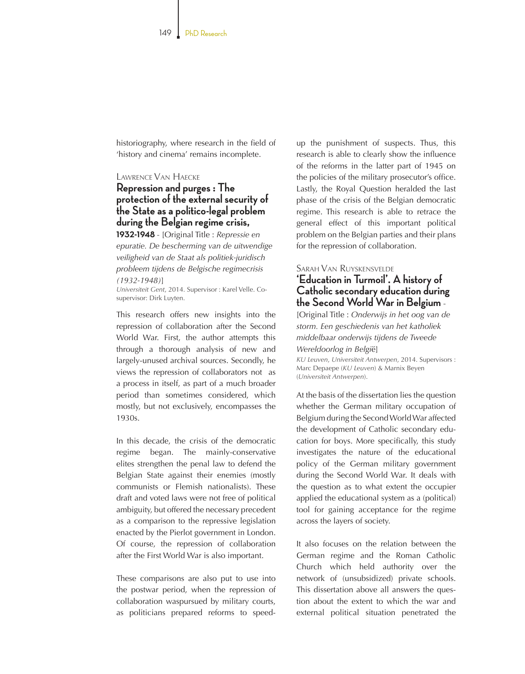historiography, where research in the field of 'history and cinema' remains incomplete.

## Lawrence Van Haecke **Repression and purges : The protection of the external security of the State as a politico-legal problem during the Belgian regime crisis,**

**1932-1948** - [Original Title : *Repressie en epuratie. De bescherming van de uitwendige veiligheid van de Staat als politiek-juridisch probleem tijdens de Belgische regimecrisis (1932-1948)*]

*Universiteit Gent*, 2014. Supervisor : Karel Velle. Cosupervisor: Dirk Luyten.

This research offers new insights into the repression of collaboration after the Second World War. First, the author attempts this through a thorough analysis of new and largely-unused archival sources. Secondly, he views the repression of collaborators not as a process in itself, as part of a much broader period than sometimes considered, which mostly, but not exclusively, encompasses the 1930s.

In this decade, the crisis of the democratic regime began. The mainly-conservative elites strengthen the penal law to defend the Belgian State against their enemies (mostly communists or Flemish nationalists). These draft and voted laws were not free of political ambiguity, but offered the necessary precedent as a comparison to the repressive legislation enacted by the Pierlot government in London. Of course, the repression of collaboration after the First World War is also important.

These comparisons are also put to use into the postwar period, when the repression of collaboration waspursued by military courts, as politicians prepared reforms to speed-

up the punishment of suspects. Thus, this research is able to clearly show the influence of the reforms in the latter part of 1945 on the policies of the military prosecutor's office. Lastly, the Royal Question heralded the last phase of the crisis of the Belgian democratic regime. This research is able to retrace the general effect of this important political problem on the Belgian parties and their plans for the repression of collaboration.

## Sarah Van Ruyskensvelde

## **'Education in Turmoil'. A history of Catholic secondary education during the Second World War in Belgium** -

[Original Title : *Onderwijs in het oog van de storm. Een geschiedenis van het katholiek middelbaar onderwijs tijdens de Tweede Wereldoorlog in Belgi*ë]

*KU Leuven*, *Universiteit Antwerpen*, 2014. Supervisors : Marc Depaepe (*KU Leuven*) & Marnix Beyen (*Universiteit Antwerpen*).

At the basis of the dissertation lies the question whether the German military occupation of Belgium during the Second World War affected the development of Catholic secondary education for boys. More specifically, this study investigates the nature of the educational policy of the German military government during the Second World War. It deals with the question as to what extent the occupier applied the educational system as a (political) tool for gaining acceptance for the regime across the layers of society.

It also focuses on the relation between the German regime and the Roman Catholic Church which held authority over the network of (unsubsidized) private schools. This dissertation above all answers the question about the extent to which the war and external political situation penetrated the